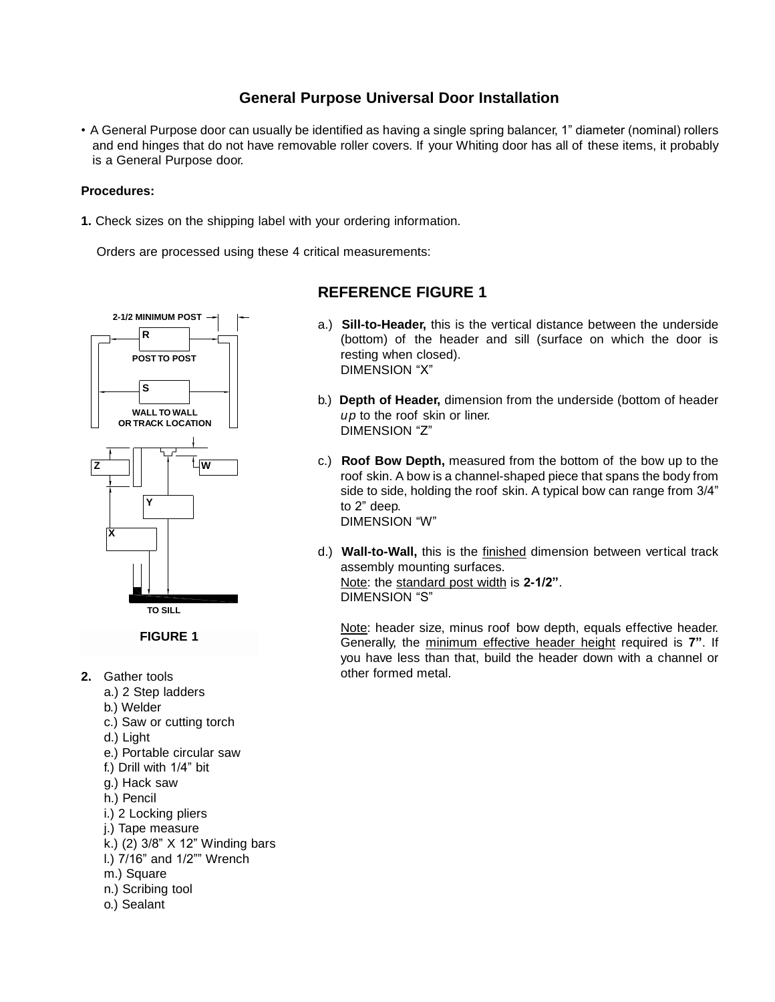# **General Purpose Universal Door Installation**

• A General Purpose door can usually be identified as having a single spring balancer, 1" diameter (nominal) rollers and end hinges that do not have removable roller covers. If your Whiting door has all of these items, it probably is a General Purpose door.

#### **Procedures:**

**1.** Check sizes on the shipping label with your ordering information.

Orders are processed using these 4 critical measurements:



- **2.** Gather tools
	- a.) 2 Step ladders
	- b.) Welder
	- c.) Saw or cutting torch
	- d.) Light
	- e.) Portable circular saw
	- f.) Drill with 1/4" bit
	- g.) Hack saw
	- h.) Pencil
	- i.) 2 Locking pliers
	- j.) Tape measure
	- k.) (2) 3/8" X 12" Winding bars
	- l.) 7/16" and 1/2"" Wrench
	- m.) Square
	- n.) Scribing tool
	- o.) Sealant

# **REFERENCE FIGURE 1**

- a.) **Sill-to-Header,** this is the vertical distance between the underside (bottom) of the header and sill (surface on which the door is resting when closed). DIMENSION "X"
- b.) **Depth of Header,** dimension from the underside (bottom of header *up* to the roof skin or liner. DIMENSION "Z"
- c.) **Roof Bow Depth,** measured from the bottom of the bow up to the roof skin. A bow is a channel-shaped piece that spans the body from side to side, holding the roof skin. A typical bow can range from 3/4" to 2" deep. DIMENSION "W"
- d.) **Wall-to-Wall,** this is the finished dimension between vertical track assembly mounting surfaces. Note: the standard post width is **2-1/2"**. DIMENSION "S"

Note: header size, minus roof bow depth, equals effective header. Generally, the minimum effective header height required is **7"**. If you have less than that, build the header down with a channel or other formed metal.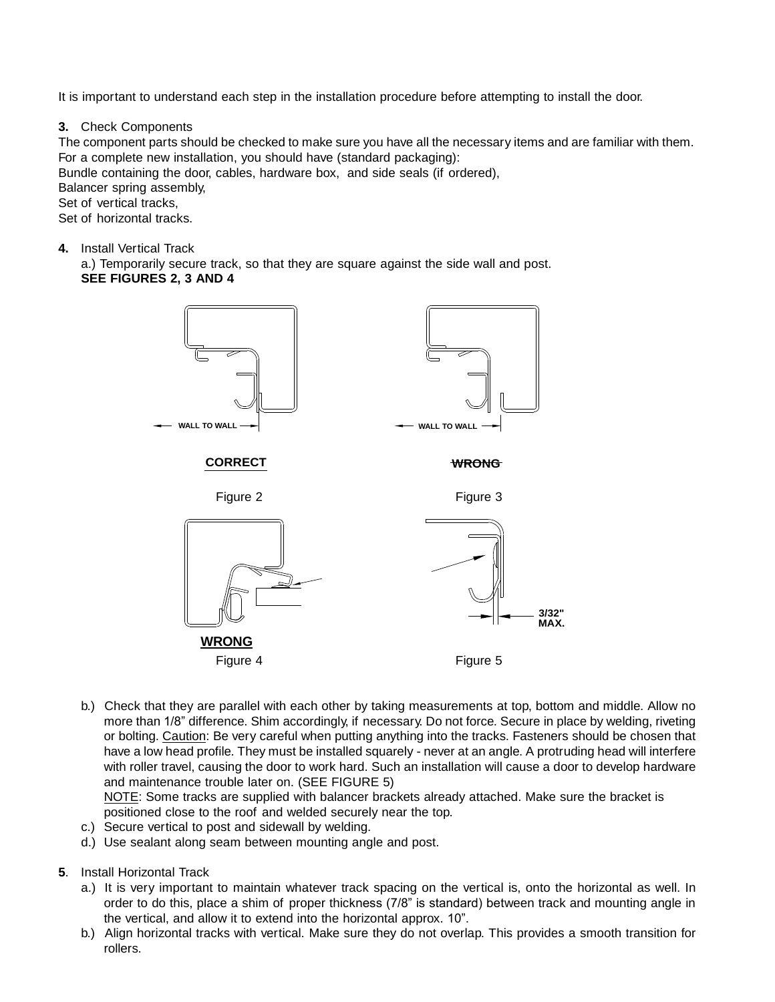It is important to understand each step in the installation procedure before attempting to install the door.

**3.** Check Components

The component parts should be checked to make sure you have all the necessary items and are familiar with them. For a complete new installation, you should have (standard packaging): Bundle containing the door, cables, hardware box, and side seals (if ordered), Balancer spring assembly, Set of vertical tracks, Set of horizontal tracks.

**4.** Install Vertical Track

a.) Temporarily secure track, so that they are square against the side wall and post. **SEE FIGURES 2, 3 AND 4**



b.) Check that they are parallel with each other by taking measurements at top, bottom and middle. Allow no more than 1/8" difference. Shim accordingly, if necessary. Do not force. Secure in place by welding, riveting or bolting. Caution: Be very careful when putting anything into the tracks. Fasteners should be chosen that have a low head profile. They must be installed squarely - never at an angle. A protruding head will interfere with roller travel, causing the door to work hard. Such an installation will cause a door to develop hardware and maintenance trouble later on. (SEE FIGURE 5)

NOTE: Some tracks are supplied with balancer brackets already attached. Make sure the bracket is positioned close to the roof and welded securely near the top.

- c.) Secure vertical to post and sidewall by welding.
- d.) Use sealant along seam between mounting angle and post.
- **5**. Install Horizontal Track
	- a.) It is very important to maintain whatever track spacing on the vertical is, onto the horizontal as well. In order to do this, place a shim of proper thickness (7/8" is standard) between track and mounting angle in the vertical, and allow it to extend into the horizontal approx. 10".
	- b.) Align horizontal tracks with vertical. Make sure they do not overlap. This provides a smooth transition for rollers.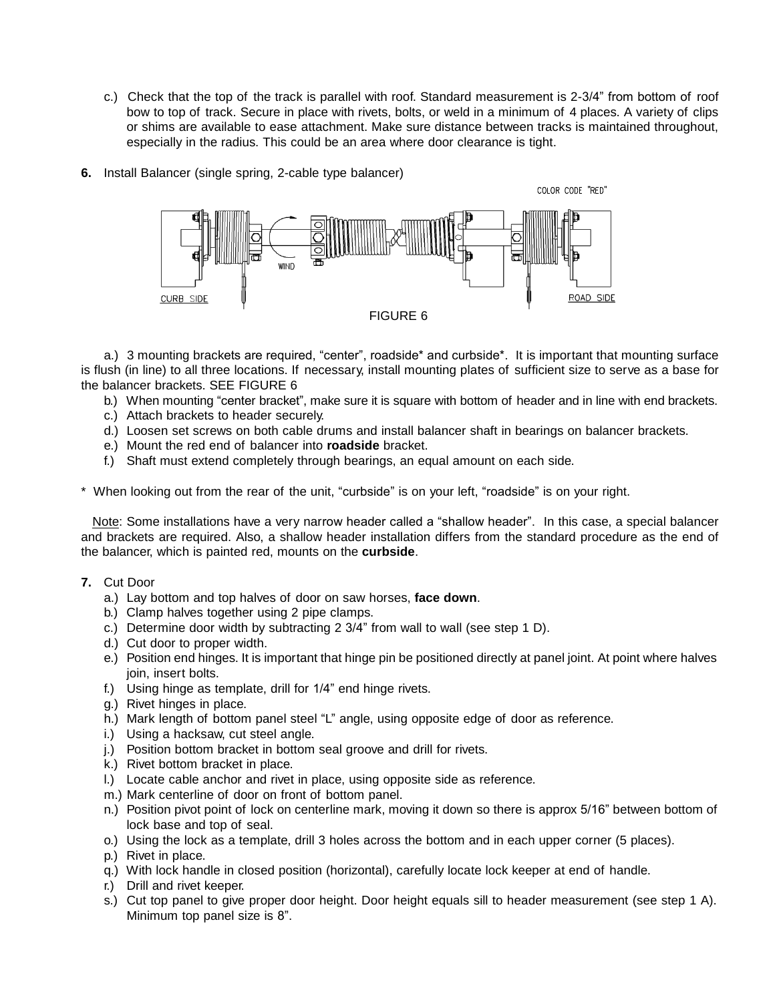- c.) Check that the top of the track is parallel with roof. Standard measurement is 2-3/4" from bottom of roof bow to top of track. Secure in place with rivets, bolts, or weld in a minimum of 4 places. A variety of clips or shims are available to ease attachment. Make sure distance between tracks is maintained throughout, especially in the radius. This could be an area where door clearance is tight.
- **6.** Install Balancer (single spring, 2-cable type balancer)



a.) 3 mounting brackets are required, "center", roadside\* and curbside\*. It is important that mounting surface is flush (in line) to all three locations. If necessary, install mounting plates of sufficient size to serve as a base for the balancer brackets. SEE FIGURE 6

b.) When mounting "center bracket", make sure it is square with bottom of header and in line with end brackets.

- c.) Attach brackets to header securely.
- d.) Loosen set screws on both cable drums and install balancer shaft in bearings on balancer brackets.
- e.) Mount the red end of balancer into **roadside** bracket.
- f.) Shaft must extend completely through bearings, an equal amount on each side.

\* When looking out from the rear of the unit, "curbside" is on your left, "roadside" is on your right.

Note: Some installations have a very narrow header called a "shallow header". In this case, a special balancer and brackets are required. Also, a shallow header installation differs from the standard procedure as the end of the balancer, which is painted red, mounts on the **curbside**.

## **7.** Cut Door

- a.) Lay bottom and top halves of door on saw horses, **face down**.
- b.) Clamp halves together using 2 pipe clamps.
- c.) Determine door width by subtracting 2 3/4" from wall to wall (see step 1 D).
- d.) Cut door to proper width.
- e.) Position end hinges. It is important that hinge pin be positioned directly at panel joint. At point where halves join, insert bolts.
- f.) Using hinge as template, drill for 1/4" end hinge rivets.
- g.) Rivet hinges in place.
- h.) Mark length of bottom panel steel "L" angle, using opposite edge of door as reference.
- i.) Using a hacksaw, cut steel angle.
- j.) Position bottom bracket in bottom seal groove and drill for rivets.
- k.) Rivet bottom bracket in place.
- l.) Locate cable anchor and rivet in place, using opposite side as reference.
- m.) Mark centerline of door on front of bottom panel.
- n.) Position pivot point of lock on centerline mark, moving it down so there is approx 5/16" between bottom of lock base and top of seal.
- o.) Using the lock as a template, drill 3 holes across the bottom and in each upper corner (5 places).
- p.) Rivet in place.
- q.) With lock handle in closed position (horizontal), carefully locate lock keeper at end of handle.
- r.) Drill and rivet keeper.
- s.) Cut top panel to give proper door height. Door height equals sill to header measurement (see step 1 A). Minimum top panel size is 8".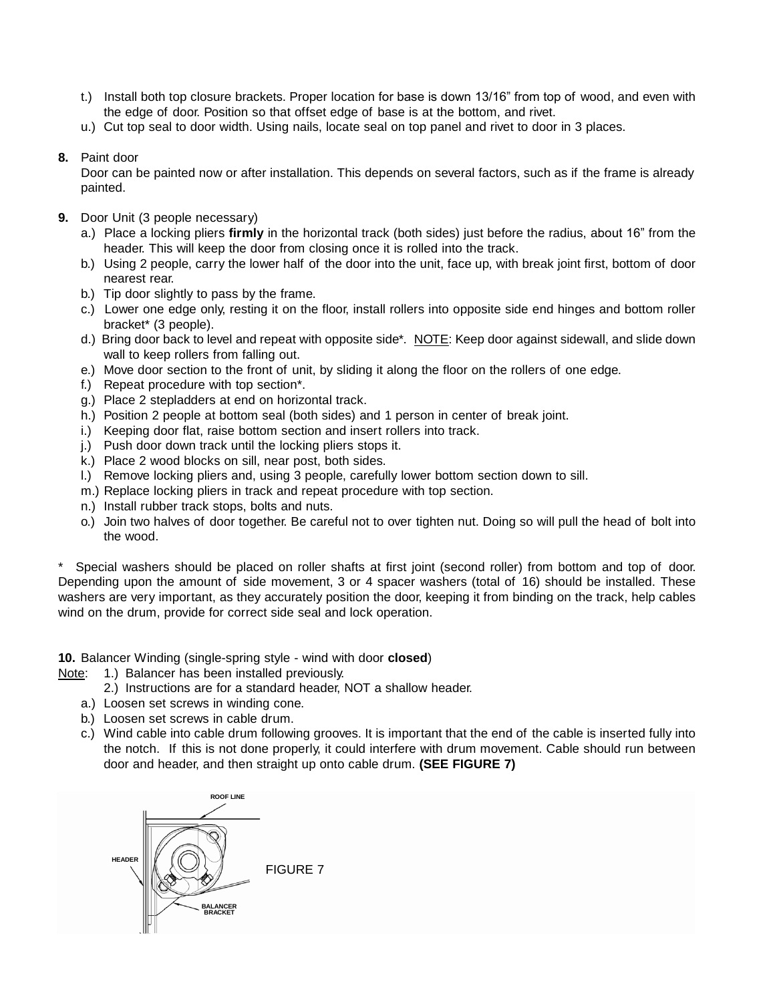- t.) Install both top closure brackets. Proper location for base is down 13/16" from top of wood, and even with the edge of door. Position so that offset edge of base is at the bottom, and rivet.
- u.) Cut top seal to door width. Using nails, locate seal on top panel and rivet to door in 3 places.
- **8.** Paint door

Door can be painted now or after installation. This depends on several factors, such as if the frame is already painted.

- **9.** Door Unit (3 people necessary)
	- a.) Place a locking pliers **firmly** in the horizontal track (both sides) just before the radius, about 16" from the header. This will keep the door from closing once it is rolled into the track.
	- b.) Using 2 people, carry the lower half of the door into the unit, face up, with break joint first, bottom of door nearest rear.
	- b.) Tip door slightly to pass by the frame.
	- c.) Lower one edge only, resting it on the floor, install rollers into opposite side end hinges and bottom roller bracket\* (3 people).
	- d.) Bring door back to level and repeat with opposite side\*. NOTE: Keep door against sidewall, and slide down wall to keep rollers from falling out.
	- e.) Move door section to the front of unit, by sliding it along the floor on the rollers of one edge.
	- f.) Repeat procedure with top section\*.
	- g.) Place 2 stepladders at end on horizontal track.
	- h.) Position 2 people at bottom seal (both sides) and 1 person in center of break joint.
	- i.) Keeping door flat, raise bottom section and insert rollers into track.
	- j.) Push door down track until the locking pliers stops it.
	- k.) Place 2 wood blocks on sill, near post, both sides.
	- l.) Remove locking pliers and, using 3 people, carefully lower bottom section down to sill.
	- m.) Replace locking pliers in track and repeat procedure with top section.
	- n.) Install rubber track stops, bolts and nuts.
	- o.) Join two halves of door together. Be careful not to over tighten nut. Doing so will pull the head of bolt into the wood.

Special washers should be placed on roller shafts at first joint (second roller) from bottom and top of door. Depending upon the amount of side movement, 3 or 4 spacer washers (total of 16) should be installed. These washers are very important, as they accurately position the door, keeping it from binding on the track, help cables wind on the drum, provide for correct side seal and lock operation.

**10.** Balancer Winding (single-spring style - wind with door **closed**)

- Note: 1.) Balancer has been installed previously.
	- 2.) Instructions are for a standard header, NOT a shallow header.
	- a.) Loosen set screws in winding cone.
	- b.) Loosen set screws in cable drum.
	- c.) Wind cable into cable drum following grooves. It is important that the end of the cable is inserted fully into the notch. If this is not done properly, it could interfere with drum movement. Cable should run between door and header, and then straight up onto cable drum. **(SEE FIGURE 7)**

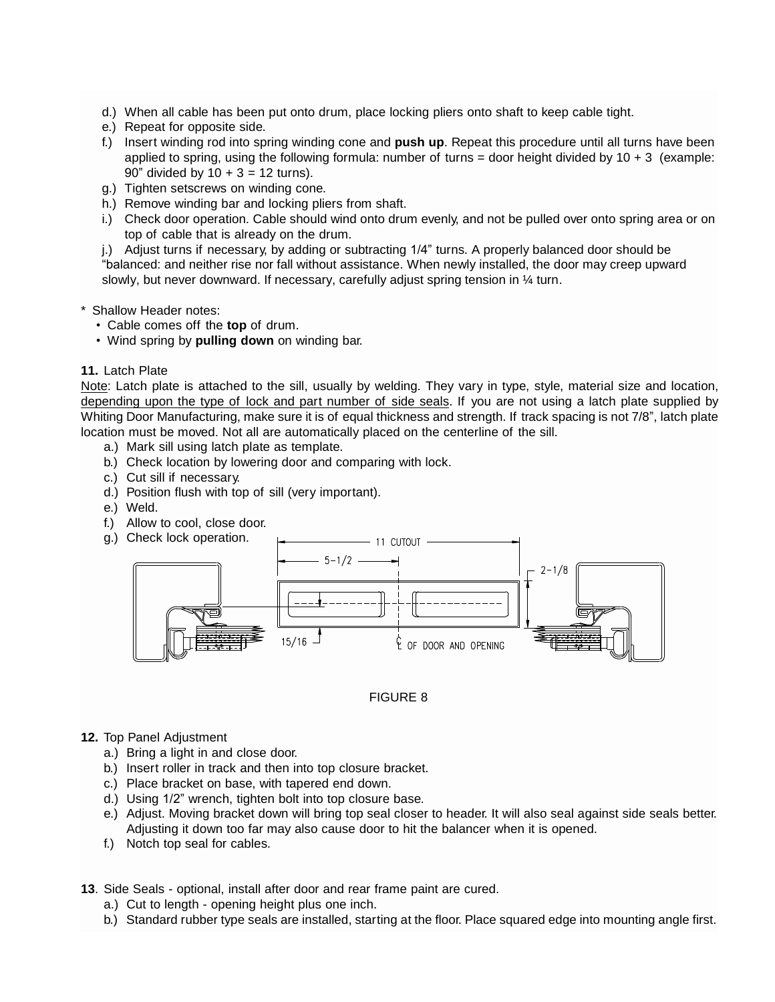- d.) When all cable has been put onto drum, place locking pliers onto shaft to keep cable tight.
- e.) Repeat for opposite side.
- f.) Insert winding rod into spring winding cone and **push up**. Repeat this procedure until all turns have been applied to spring, using the following formula: number of turns = door height divided by  $10 + 3$  (example: 90" divided by  $10 + 3 = 12$  turns).
- g.) Tighten setscrews on winding cone.
- h.) Remove winding bar and locking pliers from shaft.
- i.) Check door operation. Cable should wind onto drum evenly, and not be pulled over onto spring area or on top of cable that is already on the drum.

j.) Adjust turns if necessary, by adding or subtracting 1/4" turns. A properly balanced door should be "balanced: and neither rise nor fall without assistance. When newly installed, the door may creep upward slowly, but never downward. If necessary, carefully adjust spring tension in  $\frac{1}{4}$  turn.

- \* Shallow Header notes:
	- Cable comes off the **top** of drum.
	- Wind spring by **pulling down** on winding bar.

#### **11.** Latch Plate

Note: Latch plate is attached to the sill, usually by welding. They vary in type, style, material size and location, depending upon the type of lock and part number of side seals. If you are not using a latch plate supplied by Whiting Door Manufacturing, make sure it is of equal thickness and strength. If track spacing is not 7/8", latch plate location must be moved. Not all are automatically placed on the centerline of the sill.

- a.) Mark sill using latch plate as template.
- b.) Check location by lowering door and comparing with lock.
- c.) Cut sill if necessary.
- d.) Position flush with top of sill (very important).
- e.) Weld.
- f.) Allow to cool, close door.



## FIGURE 8

#### **12.** Top Panel Adjustment

- a.) Bring a light in and close door.
- b.) Insert roller in track and then into top closure bracket.
- c.) Place bracket on base, with tapered end down.
- d.) Using 1/2" wrench, tighten bolt into top closure base.
- e.) Adjust. Moving bracket down will bring top seal closer to header. It will also seal against side seals better. Adjusting it down too far may also cause door to hit the balancer when it is opened.
- f.) Notch top seal for cables.
- **13**. Side Seals optional, install after door and rear frame paint are cured.
	- a.) Cut to length opening height plus one inch.
	- b.) Standard rubber type seals are installed, starting at the floor. Place squared edge into mounting angle first.